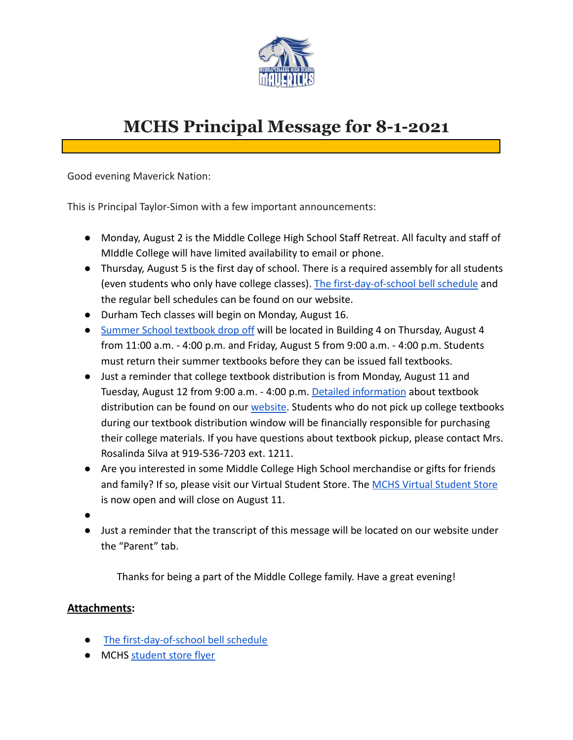

## **MCHS Principal Message for 8-1-2021**

Good evening Maverick Nation:

This is Principal Taylor-Simon with a few important announcements:

- Monday, August 2 is the Middle College High School Staff Retreat. All faculty and staff of MIddle College will have limited availability to email or phone.
- Thursday, August 5 is the first day of school. There is a required assembly for all students (even students who only have college classes). The [first-day-of-school bell schedule](https://www.dpsnc.net/domain/777) and the regular bell schedules can be found on our website.
- Durham Tech classes will begin on Monday, August 16.
- [Summer School textbook drop off](https://www.dpsnc.net/site/default.aspx?PageType=3&DomainID=53&ModuleInstanceID=2903&ViewID=6446EE88-D30C-497E-9316-3F8874B3E108&RenderLoc=0&FlexDataID=50716&PageID=99) will be located in Building 4 on Thursday, August 4 from 11:00 a.m. - 4:00 p.m. and Friday, August 5 from 9:00 a.m. - 4:00 p.m. Students must return their summer textbooks before they can be issued fall textbooks.
- Just a reminder that college textbook distribution is from Monday, August 11 and Tuesday, August 12 from 9:00 a.m. - 4:00 p.m. Detailed [information](https://docs.google.com/document/d/1h-B4I6-JahjLVEO7mad_fz7ocWcVVw8iSsRwMJZs9ic/edit?usp=sharing) about textbook distribution can be found on our [website](https://www.dpsnc.net/site/default.aspx?PageType=3&DomainID=53&ModuleInstanceID=2903&ViewID=6446EE88-D30C-497E-9316-3F8874B3E108&RenderLoc=0&FlexDataID=50716&PageID=99). Students who do not pick up college textbooks during our textbook distribution window will be financially responsible for purchasing their college materials. If you have questions about textbook pickup, please contact Mrs. Rosalinda Silva at 919-536-7203 ext. 1211.
- Are you interested in some Middle College High School merchandise or gifts for friends and family? If so, please visit our Virtual Student Store. The [MCHS Virtual Student Store](https://drive.google.com/file/d/1aCI60K0ypJTEFXrtQ9XLLd91k4g5reAJ/view?usp=sharing) is now open and will close on August 11.
- ●
- Just a reminder that the transcript of this message will be located on our website under the "Parent" tab.

Thanks for being a part of the Middle College family. Have a great evening!

## **Attachments:**

- [The first-day-of-school bell schedule](https://www.dpsnc.net/domain/777)
- MCHS [student store flyer](https://drive.google.com/file/d/1aCI60K0ypJTEFXrtQ9XLLd91k4g5reAJ/view?usp=sharing)